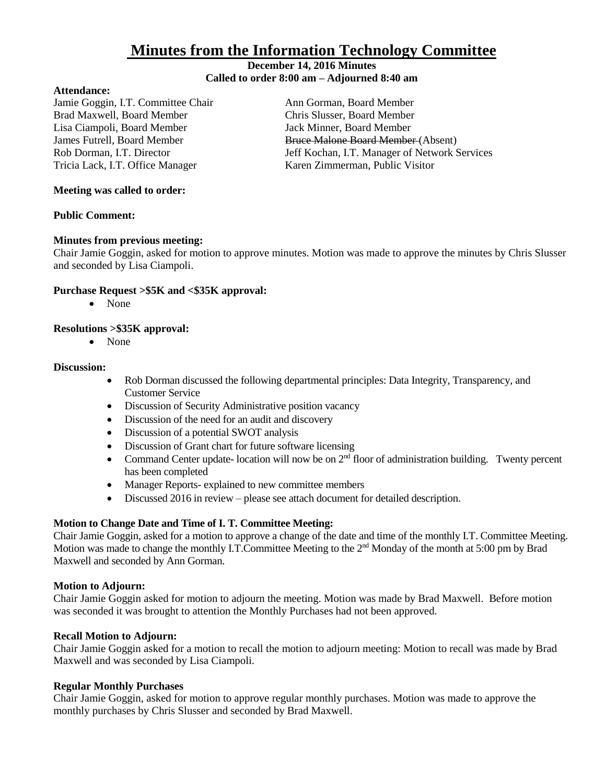# **Minutes from the Information Technology Committee**

# **December 14, 2016 Minutes Called to order 8:00 am – Adjourned 8:40 am**

#### **Attendance:**

Jamie Goggin, I.T. Committee Chair Ann Gorman, Board Member Brad Maxwell, Board Member Chris Slusser, Board Member Lisa Ciampoli, Board Member Jack Minner, Board Member Tricia Lack, I.T. Office Manager Karen Zimmerman, Public Visitor

James Futrell, Board Member Bruce Malone Board Member (Absent) Rob Dorman, I.T. Director **Jeff Kochan, I.T. Manager of Network Services** 

## **Meeting was called to order:**

# **Public Comment:**

# **Minutes from previous meeting:**

Chair Jamie Goggin, asked for motion to approve minutes. Motion was made to approve the minutes by Chris Slusser and seconded by Lisa Ciampoli.

# **Purchase Request >\$5K and <\$35K approval:**

None

# **Resolutions >\$35K approval:**

• None

# **Discussion:**

- Rob Dorman discussed the following departmental principles: Data Integrity, Transparency, and Customer Service
- Discussion of Security Administrative position vacancy
- Discussion of the need for an audit and discovery
- Discussion of a potential SWOT analysis
- Discussion of Grant chart for future software licensing
- Command Center update- location will now be on  $2<sup>nd</sup>$  floor of administration building. Twenty percent has been completed
- Manager Reports- explained to new committee members
- Discussed 2016 in review please see attach document for detailed description.

#### **Motion to Change Date and Time of I. T. Committee Meeting:**

Chair Jamie Goggin, asked for a motion to approve a change of the date and time of the monthly I.T. Committee Meeting. Motion was made to change the monthly I.T.Committee Meeting to the 2<sup>nd</sup> Monday of the month at 5:00 pm by Brad Maxwell and seconded by Ann Gorman.

#### **Motion to Adjourn:**

Chair Jamie Goggin asked for motion to adjourn the meeting. Motion was made by Brad Maxwell. Before motion was seconded it was brought to attention the Monthly Purchases had not been approved.

#### **Recall Motion to Adjourn:**

Chair Jamie Goggin asked for a motion to recall the motion to adjourn meeting: Motion to recall was made by Brad Maxwell and was seconded by Lisa Ciampoli.

#### **Regular Monthly Purchases**

Chair Jamie Goggin, asked for motion to approve regular monthly purchases. Motion was made to approve the monthly purchases by Chris Slusser and seconded by Brad Maxwell.